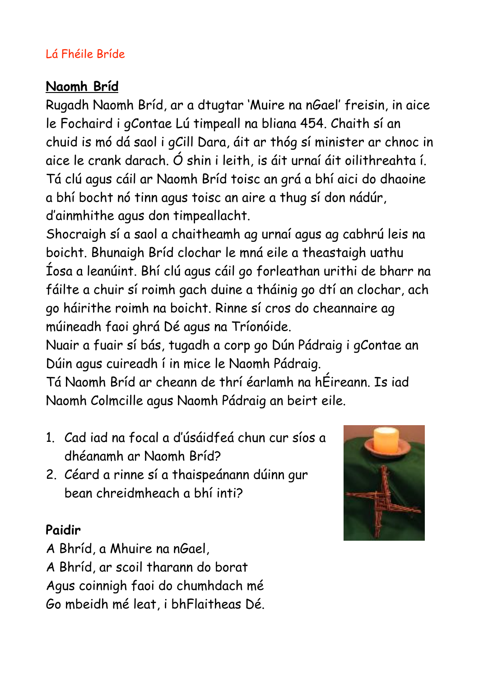## Lá Fhéile Bríde

## **Naomh Bríd**

Rugadh Naomh Bríd, ar a dtugtar 'Muire na nGael' freisin, in aice le Fochaird i gContae Lú timpeall na bliana 454. Chaith sí an chuid is mó dá saol i gCill Dara, áit ar thóg sí minister ar chnoc in aice le crank darach. Ó shin i leith, is áit urnaí áit oilithreahta í. Tá clú agus cáil ar Naomh Bríd toisc an grá a bhí aici do dhaoine a bhí bocht nó tinn agus toisc an aire a thug sí don nádúr, d'ainmhithe agus don timpeallacht.

Shocraigh sí a saol a chaitheamh ag urnaí agus ag cabhrú leis na boicht. Bhunaigh Bríd clochar le mná eile a theastaigh uathu Íosa a leanúint. Bhí clú agus cáil go forleathan urithi de bharr na fáilte a chuir sí roimh gach duine a tháinig go dtí an clochar, ach go háirithe roimh na boicht. Rinne sí cros do cheannaire ag múineadh faoi ghrá Dé agus na Tríonóide.

Nuair a fuair sí bás, tugadh a corp go Dún Pádraig i gContae an Dúin agus cuireadh í in mice le Naomh Pádraig.

Tá Naomh Bríd ar cheann de thrí éarlamh na hÉireann. Is iad Naomh Colmcille agus Naomh Pádraig an beirt eile.

- 1. Cad iad na focal a d'úsáidfeá chun cur síos a dhéanamh ar Naomh Bríd?
- 2. Céard a rinne sí a thaispeánann dúinn gur bean chreidmheach a bhí inti?

## **Paidir**

A Bhríd, a Mhuire na nGael, A Bhríd, ar scoil tharann do borat Agus coinnigh faoi do chumhdach mé Go mbeidh mé leat, i bhFlaitheas Dé.

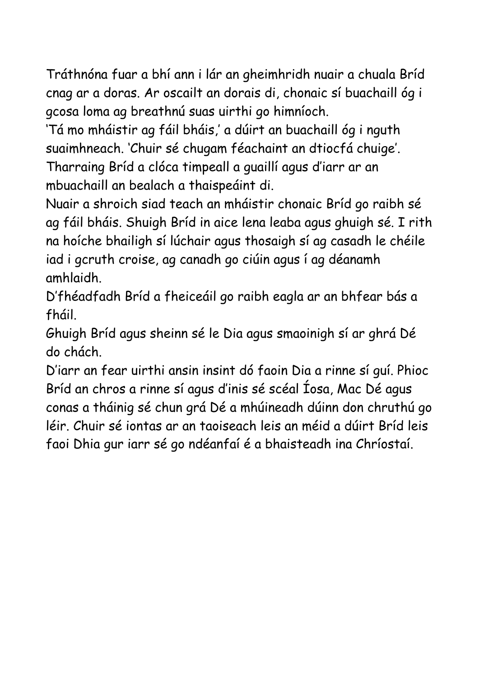Tráthnóna fuar a bhí ann i lár an gheimhridh nuair a chuala Bríd cnag ar a doras. Ar oscailt an dorais di, chonaic sí buachaill óg i gcosa loma ag breathnú suas uirthi go himníoch.

'Tá mo mháistir ag fáil bháis,' a dúirt an buachaill óg i nguth suaimhneach. 'Chuir sé chugam féachaint an dtiocfá chuige'. Tharraing Bríd a clóca timpeall a guaillí agus d'iarr ar an

mbuachaill an bealach a thaispeáint di.

Nuair a shroich siad teach an mháistir chonaic Bríd go raibh sé ag fáil bháis. Shuigh Bríd in aice lena leaba agus ghuigh sé. I rith na hoíche bhailigh sí lúchair agus thosaigh sí ag casadh le chéile iad i gcruth croise, ag canadh go ciúin agus í ag déanamh amhlaidh.

D'fhéadfadh Bríd a fheiceáil go raibh eagla ar an bhfear bás a fháil.

Ghuigh Bríd agus sheinn sé le Dia agus smaoinigh sí ar ghrá Dé do chách.

D'iarr an fear uirthi ansin insint dó faoin Dia a rinne sí guí. Phioc Bríd an chros a rinne sí agus d'inis sé scéal Íosa, Mac Dé agus conas a tháinig sé chun grá Dé a mhúineadh dúinn don chruthú go léir. Chuir sé iontas ar an taoiseach leis an méid a dúirt Bríd leis faoi Dhia gur iarr sé go ndéanfaí é a bhaisteadh ina Chríostaí.